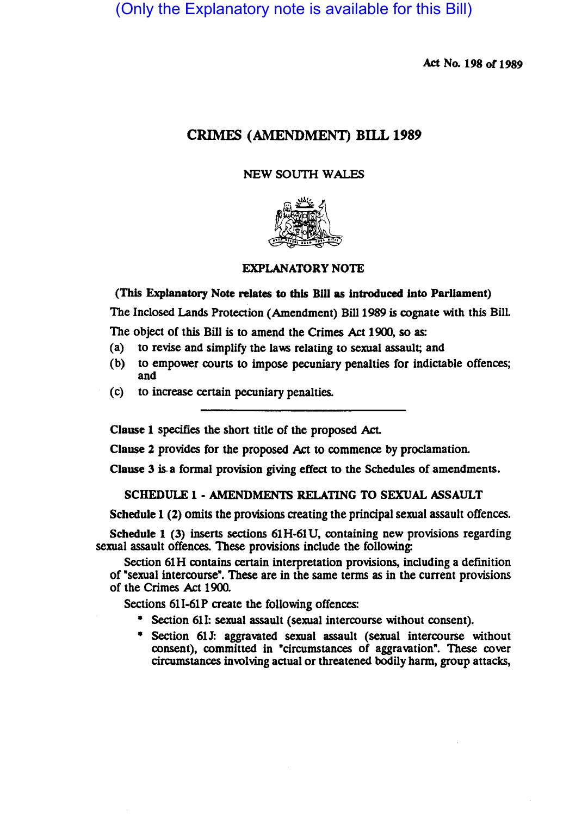(Only the Explanatory note is available for this Bill)

Act No. 198 of 1989

# CRIMES (AMENDMENT) BILL 1989

## NEW SOUTH WALES



## EXPLANATORY NOTE

(This Explanatory Note relates to this Bill as introduced into Parliament)

The Inclosed Lands Protection (Amendment) Bill 1989 is cognate with this BilL

The object of this Bill is to amend the Crimes Act 1900, so as:

- (a) to revise and Simplify the laws relating 10 sexual assault; and
- (b) to empower courts to impose pecuniary penalties for indictable offences; and
- (c) to increase certain pecuniary penalties.

Clause 1 specifies the short title of the proposed Act.

Clause 2 provides for the proposed Act to commence by proclamation.

Clause 3 is. a formal provision giving effect to the Schedules of amendments.

#### SCHEDULE 1 • AMENDMENTS RELATING TO SEXUAL ASSAULT

Schedule 1 (2) omits the provisions creating the principal sexual assault offences.

Schedule 1 (3) inserts sections 61H-61 U, containing new provisions regarding sexual assault offences. These provisions include the following:

Section 61H contains certain interpretation provisions, including a defmition of "sexual intercourse". These are in the same terms as in the current provisions of the Crimes Act 1900.

Sections 611-61P create the following offences:

- Section 611: sexual assault (sexual intercourse without consent).
- Section 61J: aggravated sexual assault (sexual intercourse without consent), committed in "circumstances of aggravation". These cover circumstances involving actual or threatened bodily harm, group attacks,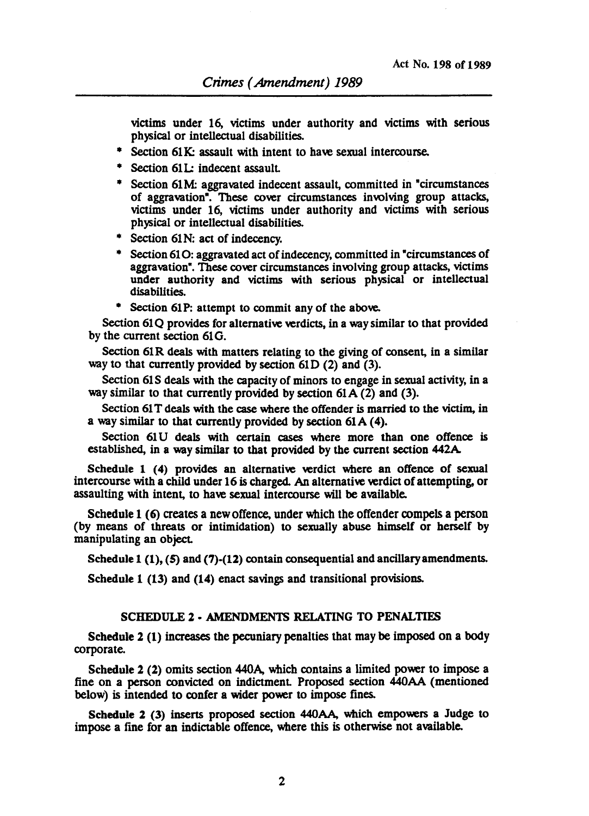victims under 16, victims under authority and victims with serious physical or intellectual disabilities.

- Section 61K: assault with intent to have sexual intercourse.
- \* Section 61L: indecent assault.
- Section 61M: aggravated indecent assault, committed in "circumstances of aggravation". These cover circumstances involving group attacks, victims under 16, victims under authority and victims with serious physical or intellectual disabilities.
- Section 61 N: act of indecency.
- Section 610: aggravated act of indecency, committed in "circumstances of aggravation". These cover circumstances involving group attacks, victims under authority and victims with serious physical or intellectual disabilities.
- Section 61P: attempt to commit any of the above.

Section 61Q provides for alternative verdicts, in a way similar to that provided by the current section 61G.

Section 61R deals with matters relating to the giving of consent, in a similar way to that currently provided by section 61D (2) and (3).

Section 61S deals with the capacity of minors to engage in sexual activity, in a way similar to that currently provided by section  $61A(2)$  and  $(3)$ .

Section 61 T deals with the case where the offender is married to the victim, in a way similar to that currently provided by section 61A (4).

Section 61U deals with certain cases where more than one offence is established, in a way similar to that provided by the current section 442A

Schedule 1 (4) provides an alternative verdict where an offence of sexual intercourse with a child under 16 is charged. An alternative verdict of attempting, or assaulting with intent, to have sexual intercourse will be available.

Schedule 1 (6) creates a new offence, under which the offender compels a person (by means of threats or intimidation) to sexually abuse himself or herself by manipulating an object.

Schedule  $1(1)$ ,  $(5)$  and  $(7)-(12)$  contain consequential and ancillary amendments.

Schedule 1 (13) and (14) enact savings and transitional provisions.

## SCHEDULE 2 • AMENDMENTS RELATING TO PENALTIES

Schedule 2 (1) increases the pecuniary penalties that may be imposed on a body corporate.

Schedule 2 (2) omits section 44OA, which contains a limited power to impose a fine on a person convicted on indictment. Proposed section 440AA (mentioned below) is intended to confer a wider power to impose fines.

Schedule 2 (3) inserts proposed section 44OAA, which empowers a Judge to impose a fine for an indictable offence, where this is otherwise not available.